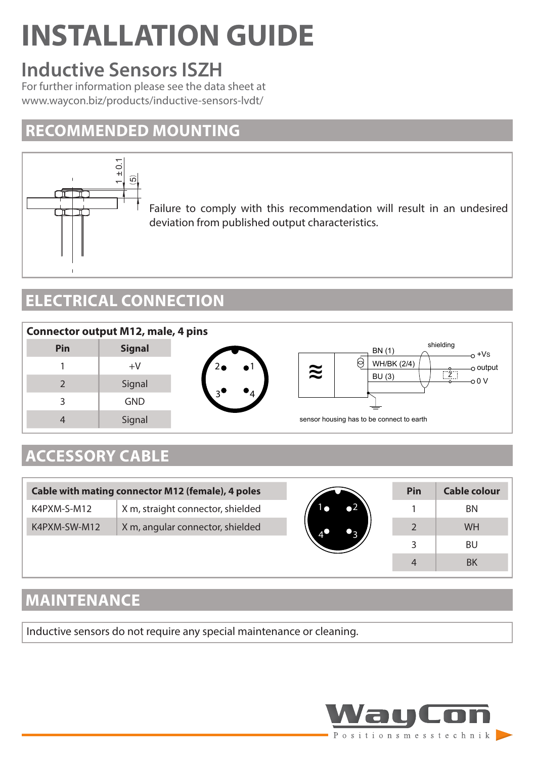# **INSTALLATION GUIDE**

# **Inductive Sensors ISZH**

For further information please see the data sheet at www.waycon.biz/products/inductive-sensors-lvdt/

#### **RECOMMENDED MOUNTING**



Failure to comply with this recommendation will result in an undesired deviation from published output characteristics.

## **ELECTRICAL CONNECTION**



# **ACCESSORY CABLE**

| Cable with mating connector M12 (female), 4 poles |                                   |          | Pin | Cable colour |
|---------------------------------------------------|-----------------------------------|----------|-----|--------------|
| K4PXM-S-M12                                       | X m, straight connector, shielded | $\sim$ 2 |     | BN           |
| K4PXM-SW-M12                                      | X m, angular connector, shielded  |          |     | <b>WH</b>    |
|                                                   |                                   |          |     | <b>BU</b>    |
|                                                   |                                   |          | 4   | <b>BK</b>    |

### **MAINTENANCE**

Inductive sensors do not require any special maintenance or cleaning.